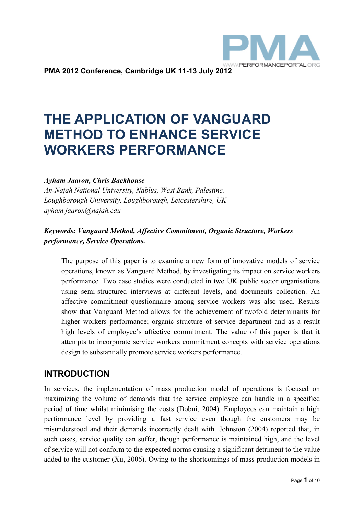

**PMA 2012 Conference, Cambridge UK 11-13 July 2012** 

# **THE APPLICATION OF VANGUARD METHOD TO ENHANCE SERVICE WORKERS PERFORMANCE**

#### *Ayham Jaaron, Chris Backhouse*

*An-Najah National University, Nablus, West Bank, Palestine. Loughborough University, Loughborough, Leicestershire, UK ayham.jaaron@najah.edu* 

#### *Keywords: Vanguard Method, Affective Commitment, Organic Structure, Workers performance, Service Operations.*

The purpose of this paper is to examine a new form of innovative models of service operations, known as Vanguard Method, by investigating its impact on service workers performance. Two case studies were conducted in two UK public sector organisations using semi-structured interviews at different levels, and documents collection. An affective commitment questionnaire among service workers was also used. Results show that Vanguard Method allows for the achievement of twofold determinants for higher workers performance; organic structure of service department and as a result high levels of employee's affective commitment. The value of this paper is that it attempts to incorporate service workers commitment concepts with service operations design to substantially promote service workers performance.

## **INTRODUCTION**

In services, the implementation of mass production model of operations is focused on maximizing the volume of demands that the service employee can handle in a specified period of time whilst minimising the costs (Dobni, 2004). Employees can maintain a high performance level by providing a fast service even though the customers may be misunderstood and their demands incorrectly dealt with. Johnston (2004) reported that, in such cases, service quality can suffer, though performance is maintained high, and the level of service will not conform to the expected norms causing a significant detriment to the value added to the customer (Xu, 2006). Owing to the shortcomings of mass production models in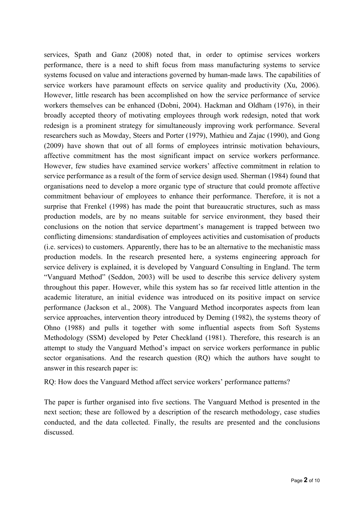services, Spath and Ganz (2008) noted that, in order to optimise services workers performance, there is a need to shift focus from mass manufacturing systems to service systems focused on value and interactions governed by human-made laws. The capabilities of service workers have paramount effects on service quality and productivity (Xu, 2006). However, little research has been accomplished on how the service performance of service workers themselves can be enhanced (Dobni, 2004). Hackman and Oldham (1976), in their broadly accepted theory of motivating employees through work redesign, noted that work redesign is a prominent strategy for simultaneously improving work performance. Several researchers such as Mowday, Steers and Porter (1979), Mathieu and Zajac (1990), and Gong (2009) have shown that out of all forms of employees intrinsic motivation behaviours, affective commitment has the most significant impact on service workers performance. However, few studies have examined service workers' affective commitment in relation to service performance as a result of the form of service design used. Sherman (1984) found that organisations need to develop a more organic type of structure that could promote affective commitment behaviour of employees to enhance their performance. Therefore, it is not a surprise that Frenkel (1998) has made the point that bureaucratic structures, such as mass production models, are by no means suitable for service environment, they based their conclusions on the notion that service department's management is trapped between two conflicting dimensions: standardisation of employees activities and customisation of products (i.e. services) to customers. Apparently, there has to be an alternative to the mechanistic mass production models. In the research presented here, a systems engineering approach for service delivery is explained, it is developed by Vanguard Consulting in England. The term "Vanguard Method" (Seddon, 2003) will be used to describe this service delivery system throughout this paper. However, while this system has so far received little attention in the academic literature, an initial evidence was introduced on its positive impact on service performance (Jackson et al., 2008). The Vanguard Method incorporates aspects from lean service approaches, intervention theory introduced by Deming (1982), the systems theory of Ohno (1988) and pulls it together with some influential aspects from Soft Systems Methodology (SSM) developed by Peter Checkland (1981). Therefore, this research is an attempt to study the Vanguard Method's impact on service workers performance in public sector organisations. And the research question (RQ) which the authors have sought to answer in this research paper is:

RQ: How does the Vanguard Method affect service workers' performance patterns?

The paper is further organised into five sections. The Vanguard Method is presented in the next section; these are followed by a description of the research methodology, case studies conducted, and the data collected. Finally, the results are presented and the conclusions discussed.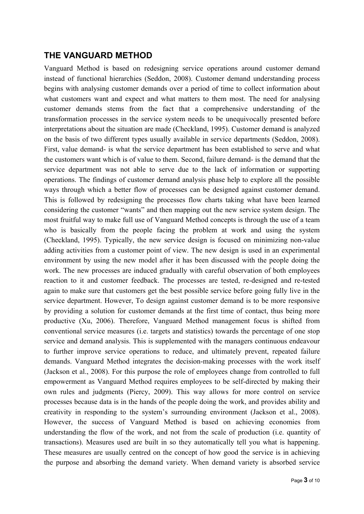## **THE VANGUARD METHOD**

Vanguard Method is based on redesigning service operations around customer demand instead of functional hierarchies (Seddon, 2008). Customer demand understanding process begins with analysing customer demands over a period of time to collect information about what customers want and expect and what matters to them most. The need for analysing customer demands stems from the fact that a comprehensive understanding of the transformation processes in the service system needs to be unequivocally presented before interpretations about the situation are made (Checkland, 1995). Customer demand is analyzed on the basis of two different types usually available in service departments (Seddon, 2008). First, value demand- is what the service department has been established to serve and what the customers want which is of value to them. Second, failure demand- is the demand that the service department was not able to serve due to the lack of information or supporting operations. The findings of customer demand analysis phase help to explore all the possible ways through which a better flow of processes can be designed against customer demand. This is followed by redesigning the processes flow charts taking what have been learned considering the customer "wants" and then mapping out the new service system design. The most fruitful way to make full use of Vanguard Method concepts is through the use of a team who is basically from the people facing the problem at work and using the system (Checkland, 1995). Typically, the new service design is focused on minimizing non-value adding activities from a customer point of view. The new design is used in an experimental environment by using the new model after it has been discussed with the people doing the work. The new processes are induced gradually with careful observation of both employees reaction to it and customer feedback. The processes are tested, re-designed and re-tested again to make sure that customers get the best possible service before going fully live in the service department. However, To design against customer demand is to be more responsive by providing a solution for customer demands at the first time of contact, thus being more productive (Xu, 2006). Therefore, Vanguard Method management focus is shifted from conventional service measures (i.e. targets and statistics) towards the percentage of one stop service and demand analysis. This is supplemented with the managers continuous endeavour to further improve service operations to reduce, and ultimately prevent, repeated failure demands. Vanguard Method integrates the decision-making processes with the work itself (Jackson et al., 2008). For this purpose the role of employees change from controlled to full empowerment as Vanguard Method requires employees to be self-directed by making their own rules and judgments (Piercy, 2009). This way allows for more control on service processes because data is in the hands of the people doing the work, and provides ability and creativity in responding to the system's surrounding environment (Jackson et al., 2008). However, the success of Vanguard Method is based on achieving economies from understanding the flow of the work, and not from the scale of production (i.e. quantity of transactions). Measures used are built in so they automatically tell you what is happening. These measures are usually centred on the concept of how good the service is in achieving the purpose and absorbing the demand variety. When demand variety is absorbed service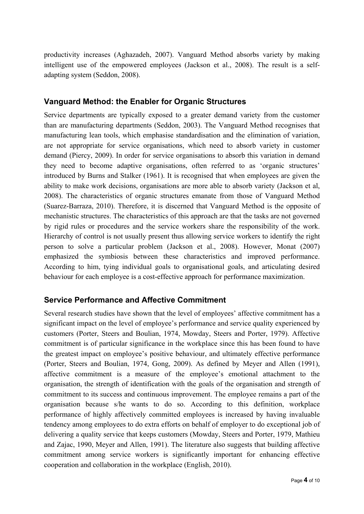productivity increases (Aghazadeh, 2007). Vanguard Method absorbs variety by making intelligent use of the empowered employees (Jackson et al., 2008). The result is a selfadapting system (Seddon, 2008).

#### **Vanguard Method: the Enabler for Organic Structures**

Service departments are typically exposed to a greater demand variety from the customer than are manufacturing departments (Seddon, 2003). The Vanguard Method recognises that manufacturing lean tools, which emphasise standardisation and the elimination of variation, are not appropriate for service organisations, which need to absorb variety in customer demand (Piercy, 2009). In order for service organisations to absorb this variation in demand they need to become adaptive organisations, often referred to as 'organic structures' introduced by Burns and Stalker (1961). It is recognised that when employees are given the ability to make work decisions, organisations are more able to absorb variety (Jackson et al, 2008). The characteristics of organic structures emanate from those of Vanguard Method (Suarez-Barraza, 2010). Therefore, it is discerned that Vanguard Method is the opposite of mechanistic structures. The characteristics of this approach are that the tasks are not governed by rigid rules or procedures and the service workers share the responsibility of the work. Hierarchy of control is not usually present thus allowing service workers to identify the right person to solve a particular problem (Jackson et al., 2008). However, Monat (2007) emphasized the symbiosis between these characteristics and improved performance. According to him, tying individual goals to organisational goals, and articulating desired behaviour for each employee is a cost-effective approach for performance maximization.

## **Service Performance and Affective Commitment**

Several research studies have shown that the level of employees' affective commitment has a significant impact on the level of employee's performance and service quality experienced by customers (Porter, Steers and Boulian, 1974, Mowday, Steers and Porter, 1979). Affective commitment is of particular significance in the workplace since this has been found to have the greatest impact on employee's positive behaviour, and ultimately effective performance (Porter, Steers and Boulian, 1974, Gong, 2009). As defined by Meyer and Allen (1991), affective commitment is a measure of the employee's emotional attachment to the organisation, the strength of identification with the goals of the organisation and strength of commitment to its success and continuous improvement. The employee remains a part of the organisation because s/he wants to do so. According to this definition, workplace performance of highly affectively committed employees is increased by having invaluable tendency among employees to do extra efforts on behalf of employer to do exceptional job of delivering a quality service that keeps customers (Mowday, Steers and Porter, 1979, Mathieu and Zajac, 1990, Meyer and Allen, 1991). The literature also suggests that building affective commitment among service workers is significantly important for enhancing effective cooperation and collaboration in the workplace (English, 2010).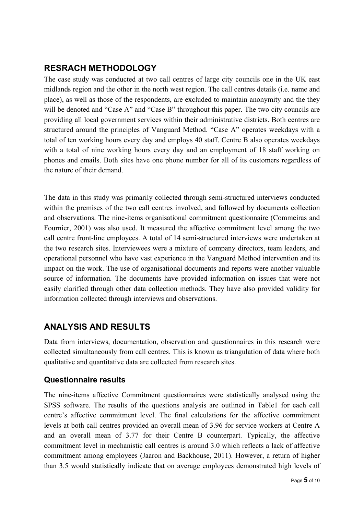# **RESRACH METHODOLOGY**

The case study was conducted at two call centres of large city councils one in the UK east midlands region and the other in the north west region. The call centres details (i.e. name and place), as well as those of the respondents, are excluded to maintain anonymity and the they will be denoted and "Case A" and "Case B" throughout this paper. The two city councils are providing all local government services within their administrative districts. Both centres are structured around the principles of Vanguard Method. "Case A" operates weekdays with a total of ten working hours every day and employs 40 staff. Centre B also operates weekdays with a total of nine working hours every day and an employment of 18 staff working on phones and emails. Both sites have one phone number for all of its customers regardless of the nature of their demand.

The data in this study was primarily collected through semi-structured interviews conducted within the premises of the two call centres involved, and followed by documents collection and observations. The nine-items organisational commitment questionnaire (Commeiras and Fournier, 2001) was also used. It measured the affective commitment level among the two call centre front-line employees. A total of 14 semi-structured interviews were undertaken at the two research sites. Interviewees were a mixture of company directors, team leaders, and operational personnel who have vast experience in the Vanguard Method intervention and its impact on the work. The use of organisational documents and reports were another valuable source of information. The documents have provided information on issues that were not easily clarified through other data collection methods. They have also provided validity for information collected through interviews and observations.

# **ANALYSIS AND RESULTS**

Data from interviews, documentation, observation and questionnaires in this research were collected simultaneously from call centres. This is known as triangulation of data where both qualitative and quantitative data are collected from research sites.

## **Questionnaire results**

The nine-items affective Commitment questionnaires were statistically analysed using the SPSS software. The results of the questions analysis are outlined in Table1 for each call centre's affective commitment level. The final calculations for the affective commitment levels at both call centres provided an overall mean of 3.96 for service workers at Centre A and an overall mean of 3.77 for their Centre B counterpart. Typically, the affective commitment level in mechanistic call centres is around 3.0 which reflects a lack of affective commitment among employees (Jaaron and Backhouse, 2011). However, a return of higher than 3.5 would statistically indicate that on average employees demonstrated high levels of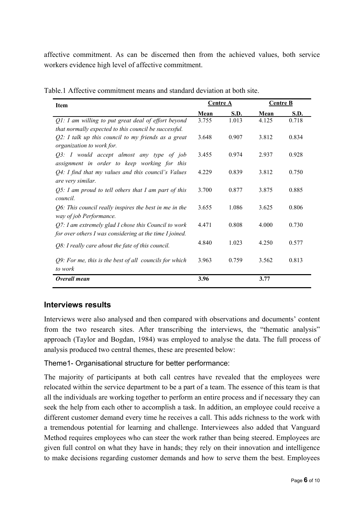affective commitment. As can be discerned then from the achieved values, both service workers evidence high level of affective commitment.

| <b>Item</b>                                                                                                        | <b>Centre A</b> |             | <b>Centre B</b> |       |
|--------------------------------------------------------------------------------------------------------------------|-----------------|-------------|-----------------|-------|
|                                                                                                                    | Mean            | <b>S.D.</b> | Mean            | S.D.  |
| $Q$ 1: I am willing to put great deal of effort beyond<br>that normally expected to this council be successful.    | 3.755           | 1.013       | 4.125           | 0.718 |
| $Q2$ : I talk up this council to my friends as a great<br>organization to work for.                                | 3.648           | 0.907       | 3.812           | 0.834 |
| Q3: I would accept almost any type of job<br>assignment in order to keep working for this                          | 3.455           | 0.974       | 2.937           | 0.928 |
| $Q4$ : I find that my values and this council's Values<br>are very similar.                                        | 4.229           | 0.839       | 3.812           | 0.750 |
| $Q5$ : I am proud to tell others that I am part of this<br>council.                                                | 3.700           | 0.877       | 3.875           | 0.885 |
| Q6: This council really inspires the best in me in the<br>way of job Performance.                                  | 3.655           | 1.086       | 3.625           | 0.806 |
| $Q$ 7: I am extremely glad I chose this Council to work<br>for over others I was considering at the time I joined. | 4.471           | 0.808       | 4.000           | 0.730 |
| $Q8$ : I really care about the fate of this council.                                                               | 4.840           | 1.023       | 4.250           | 0.577 |
| $Q9$ : For me, this is the best of all councils for which<br>to work                                               | 3.963           | 0.759       | 3.562           | 0.813 |
| Overall mean                                                                                                       | 3.96            |             | 3.77            |       |

Table.1 Affective commitment means and standard deviation at both site.

## **Interviews results**

Interviews were also analysed and then compared with observations and documents' content from the two research sites. After transcribing the interviews, the "thematic analysis" approach (Taylor and Bogdan, 1984) was employed to analyse the data. The full process of analysis produced two central themes, these are presented below:

#### Theme1- Organisational structure for better performance:

The majority of participants at both call centres have revealed that the employees were relocated within the service department to be a part of a team. The essence of this team is that all the individuals are working together to perform an entire process and if necessary they can seek the help from each other to accomplish a task. In addition, an employee could receive a different customer demand every time he receives a call. This adds richness to the work with a tremendous potential for learning and challenge. Interviewees also added that Vanguard Method requires employees who can steer the work rather than being steered. Employees are given full control on what they have in hands; they rely on their innovation and intelligence to make decisions regarding customer demands and how to serve them the best. Employees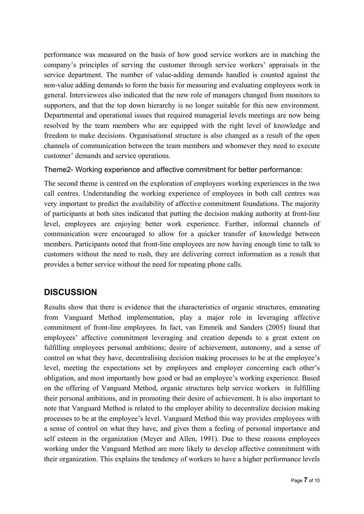performance was measured on the basis of how good service workers are in matching the company's principles of serving the customer through service workers' appraisals in the service department. The number of value-adding demands handled is counted against the non-value adding demands to form the basis for measuring and evaluating employees work in general. Interviewees also indicated that the new role of managers changed from monitors to supporters, and that the top down hierarchy is no longer suitable for this new environment. Departmental and operational issues that required managerial levels meetings are now being resolved by the team members who are equipped with the right level of knowledge and freedom to make decisions. Organisational structure is also changed as a result of the open channels of communication between the team members and whomever they need to execute customer' demands and service operations.

#### Theme2- Working experience and affective commitment for better performance:

The second theme is centred on the exploration of employees working experiences in the two call centres. Understanding the working experience of employees in both call centres was very important to predict the availability of affective commitment foundations. The majority of participants at both sites indicated that putting the decision making authority at front-line level, employees are enjoying better work experience. Further, informal channels of communication were encouraged to allow for a quicker transfer of knowledge between members. Participants noted that front-line employees are now having enough time to talk to customers without the need to rush, they are delivering correct information as a result that provides a better service without the need for repeating phone calls.

# **DISCUSSION**

Results show that there is evidence that the characteristics of organic structures, emanating from Vanguard Method implementation, play a major role in leveraging affective commitment of front-line employees. In fact, van Emmrik and Sanders (2005) found that employees' affective commitment leveraging and creation depends to a great extent on fulfilling employees personal ambitions; desire of achievement, autonomy, and a sense of control on what they have, decentralising decision making processes to be at the employee's level, meeting the expectations set by employees and employer concerning each other's obligation, and most importantly how good or bad an employee's working experience. Based on the offering of Vanguard Method, organic structures help service workers in fulfilling their personal ambitions, and in promoting their desire of achievement. It is also important to note that Vanguard Method is related to the employer ability to decentralize decision making processes to be at the employee's level. Vanguard Method this way provides employees with a sense of control on what they have, and gives them a feeling of personal importance and self esteem in the organization (Meyer and Allen, 1991). Due to these reasons employees working under the Vanguard Method are more likely to develop affective commitment with their organization. This explains the tendency of workers to have a higher performance levels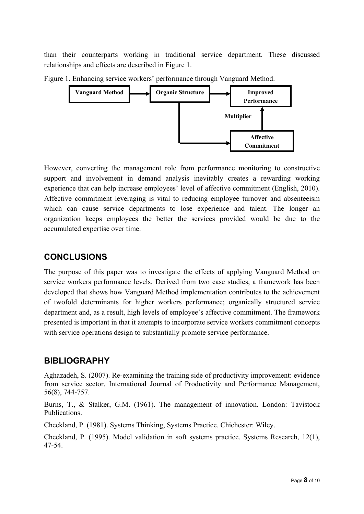than their counterparts working in traditional service department. These discussed relationships and effects are described in Figure 1.



Figure 1. Enhancing service workers' performance through Vanguard Method.

However, converting the management role from performance monitoring to constructive support and involvement in demand analysis inevitably creates a rewarding working experience that can help increase employees' level of affective commitment (English, 2010). Affective commitment leveraging is vital to reducing employee turnover and absenteeism which can cause service departments to lose experience and talent. The longer an organization keeps employees the better the services provided would be due to the accumulated expertise over time.

# **CONCLUSIONS**

The purpose of this paper was to investigate the effects of applying Vanguard Method on service workers performance levels. Derived from two case studies, a framework has been developed that shows how Vanguard Method implementation contributes to the achievement of twofold determinants for higher workers performance; organically structured service department and, as a result, high levels of employee's affective commitment. The framework presented is important in that it attempts to incorporate service workers commitment concepts with service operations design to substantially promote service performance.

# **BIBLIOGRAPHY**

Aghazadeh, S. (2007). Re-examining the training side of productivity improvement: evidence from service sector. International Journal of Productivity and Performance Management, 56(8), 744-757.

Burns, T., & Stalker, G.M. (1961). The management of innovation. London: Tavistock Publications.

Checkland, P. (1981). Systems Thinking, Systems Practice. Chichester: Wiley.

Checkland, P. (1995). Model validation in soft systems practice. Systems Research, 12(1), 47-54.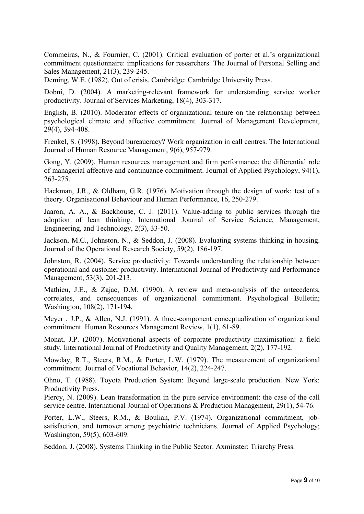Commeiras, N., & Fournier, C. (2001). Critical evaluation of porter et al.'s organizational commitment questionnaire: implications for researchers. The Journal of Personal Selling and Sales Management, 21(3), 239-245.

Deming, W.E. (1982). Out of crisis. Cambridge: Cambridge University Press.

Dobni, D. (2004). A marketing-relevant framework for understanding service worker productivity. Journal of Services Marketing, 18(4), 303-317.

English, B. (2010). Moderator effects of organizational tenure on the relationship between psychological climate and affective commitment. Journal of Management Development, 29(4), 394-408.

Frenkel, S. (1998). Beyond bureaucracy? Work organization in call centres. The International Journal of Human Resource Management, 9(6), 957-979.

Gong, Y. (2009). Human resources management and firm performance: the differential role of managerial affective and continuance commitment. Journal of Applied Psychology, 94(1), 263-275.

Hackman, J.R., & Oldham, G.R. (1976). Motivation through the design of work: test of a theory. Organisational Behaviour and Human Performance, 16, 250-279.

Jaaron, A. A., & Backhouse, C. J. (2011). Value-adding to public services through the adoption of lean thinking. International Journal of Service Science, Management, Engineering, and Technology, 2(3), 33-50.

Jackson, M.C., Johnston, N., & Seddon, J. (2008). Evaluating systems thinking in housing. Journal of the Operational Research Society, 59(2), 186-197.

Johnston, R. (2004). Service productivity: Towards understanding the relationship between operational and customer productivity. International Journal of Productivity and Performance Management, 53(3), 201-213.

Mathieu, J.E., & Zajac, D.M. (1990). A review and meta-analysis of the antecedents, correlates, and consequences of organizational commitment. Psychological Bulletin; Washington, 108(2), 171-194.

Meyer, J.P., & Allen, N.J. (1991). A three-component conceptualization of organizational commitment. Human Resources Management Review, 1(1), 61-89.

Monat, J.P. (2007). Motivational aspects of corporate productivity maximisation: a field study. International Journal of Productivity and Quality Management, 2(2), 177-192.

Mowday, R.T., Steers, R.M., & Porter, L.W. (1979). The measurement of organizational commitment. Journal of Vocational Behavior, 14(2), 224-247.

Ohno, T. (1988). Toyota Production System: Beyond large-scale production. New York: Productivity Press.

Piercy, N. (2009). Lean transformation in the pure service environment: the case of the call service centre. International Journal of Operations & Production Management, 29(1), 54-76.

Porter, L.W., Steers, R.M., & Boulian, P.V. (1974). Organizational commitment, jobsatisfaction, and turnover among psychiatric technicians. Journal of Applied Psychology; Washington, 59(5), 603-609.

Seddon, J. (2008). Systems Thinking in the Public Sector. Axminster: Triarchy Press.